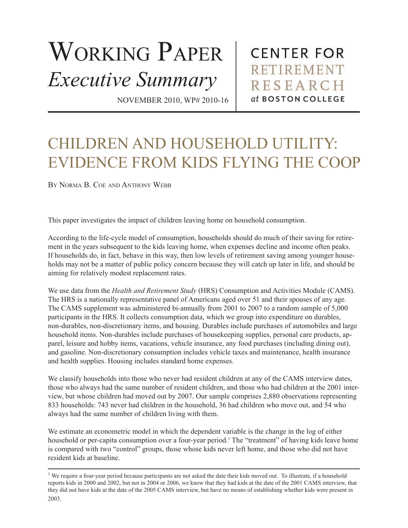## WORKING PAPER *Executive Summary*

**CENTER FOR RETIREMENT RESEARCH** at BOSTON COLLEGE

NOVEMBER 2010, WP# 2010-16

## CHILDREN AND HOUSEHOLD UTILITY: EVIDENCE FROM KIDS FLYING THE COOP

BY NORMA B. COE AND ANTHONY WEBB

This paper investigates the impact of children leaving home on household consumption.

According to the life-cycle model of consumption, households should do much of their saving for retirement in the years subsequent to the kids leaving home, when expenses decline and income often peaks. If households do, in fact, behave in this way, then low levels of retirement saving among younger households may not be a matter of public policy concern because they will catch up later in life, and should be aiming for relatively modest replacement rates.

We use data from the *Health and Retirement Study* (HRS) Consumption and Activities Module (CAMS). The HRS is a nationally representative panel of Americans aged over 51 and their spouses of any age. The CAMS supplement was administered bi-annually from 2001 to 2007 to a random sample of 5,000 participants in the HRS. It collects consumption data, which we group into expenditure on durables, non-durables, non-discretionary items, and housing. Durables include purchases of automobiles and large household items. Non-durables include purchases of housekeeping supplies, personal care products, apparel, leisure and hobby items, vacations, vehicle insurance, any food purchases (including dining out), and gasoline. Non-discretionary consumption includes vehicle taxes and maintenance, health insurance and health supplies. Housing includes standard home expenses.

We classify households into those who never had resident children at any of the CAMS interview dates, those who always had the same number of resident children, and those who had children at the 2001 interview, but whose children had moved out by 2007. Our sample comprises 2,880 observations representing 833 households: 743 never had children in the household, 36 had children who move out, and 54 who always had the same number of children living with them.

We estimate an econometric model in which the dependent variable is the change in the log of either household or per-capita consumption over a four-year period.<sup>1</sup> The "treatment" of having kids leave home is compared with two "control" groups, those whose kids never left home, and those who did not have resident kids at baseline.

<sup>&</sup>lt;sup>1</sup> We require a four-year period because participants are not asked the date their kids moved out. To illustrate, if a household reports kids in 2000 and 2002, but not in 2004 or 2006, we know that they had kids at the date of the 2001 CAMS interview, that they did not have kids at the date of the 2005 CAMS interview, but have no means of establishing whether kids were present in 2003.